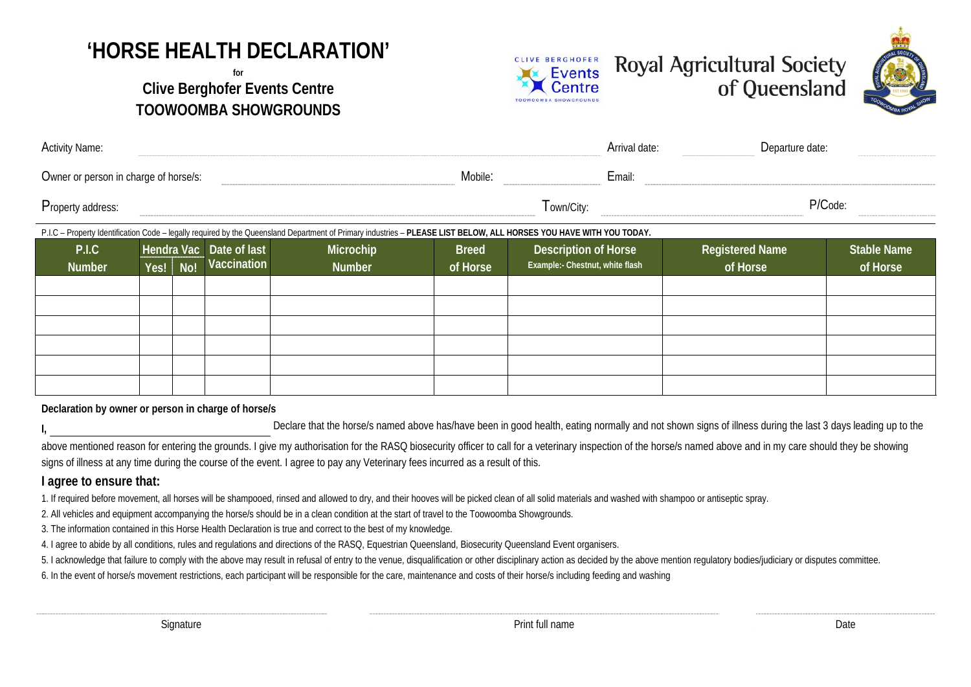## **'HORSE HEALTH DECLARATION'**

## **for Clive Berghofer Events Centre TOOWOOMBA SHOWGROUNDS**







| <b>Activity Name:</b>                                                                                                                                               |      |                              |                    |               |              | Arrival date:                                           | Departure date:             |                    |  |  |  |
|---------------------------------------------------------------------------------------------------------------------------------------------------------------------|------|------------------------------|--------------------|---------------|--------------|---------------------------------------------------------|-----------------------------|--------------------|--|--|--|
| Owner or person in charge of horse/s:                                                                                                                               |      |                              |                    |               | Mobile:      | Email:                                                  |                             |                    |  |  |  |
| Property address:                                                                                                                                                   |      |                              |                    |               |              | l own/City:                                             |                             | P/Code:            |  |  |  |
| P.I.C - Property Identification Code - legally required by the Queensland Department of Primary industries - PLEASE LIST BELOW, ALL HORSES YOU HAVE WITH YOU TODAY. |      |                              |                    |               |              |                                                         |                             |                    |  |  |  |
| P.I.C                                                                                                                                                               |      | Date of last<br>Hendra Vac I |                    | Microchip     | <b>Breed</b> | Description of Horse<br>Example:- Chestnut, white flash | Registered Name<br>of Horse | <b>Stable Name</b> |  |  |  |
| <b>Number</b>                                                                                                                                                       | Yes! | No!                          | <b>Vaccination</b> | <b>Number</b> | of Horse     |                                                         |                             | of Horse           |  |  |  |
|                                                                                                                                                                     |      |                              |                    |               |              |                                                         |                             |                    |  |  |  |
|                                                                                                                                                                     |      |                              |                    |               |              |                                                         |                             |                    |  |  |  |

**Declaration by owner or person in charge of horse/s**

Declare that the horse/s named above has/have been in good health, eating normally and not shown signs of illness during the last 3 days leading up to the

above mentioned reason for entering the grounds. I give my authorisation for the RASQ biosecurity officer to call for a veterinary inspection of the horse/s named above and in my care should they be showing signs of illness at any time during the course of the event. I agree to pay any Veterinary fees incurred as a result of this.

## **I agree to ensure that:**

1. If required before movement, all horses will be shampooed, rinsed and allowed to dry, and their hooves will be picked clean of all solid materials and washed with shampoo or antiseptic spray.

2. All vehicles and equipment accompanying the horse/s should be in a clean condition at the start of travel to the Toowoomba Showgrounds.

3. The information contained in this Horse Health Declaration is true and correct to the best of my knowledge.

4. I agree to abide by all conditions, rules and regulations and directions of the RASQ, Equestrian Queensland, Biosecurity Queensland Event organisers.

5. I acknowledge that failure to comply with the above may result in refusal of entry to the venue, disqualification or other disciplinary action as decided by the above mention regulatory bodies/judiciary or disputes comm

6. In the event of horse/s movement restrictions, each participant will be responsible for the care, maintenance and costs of their horse/s including feeding and washing